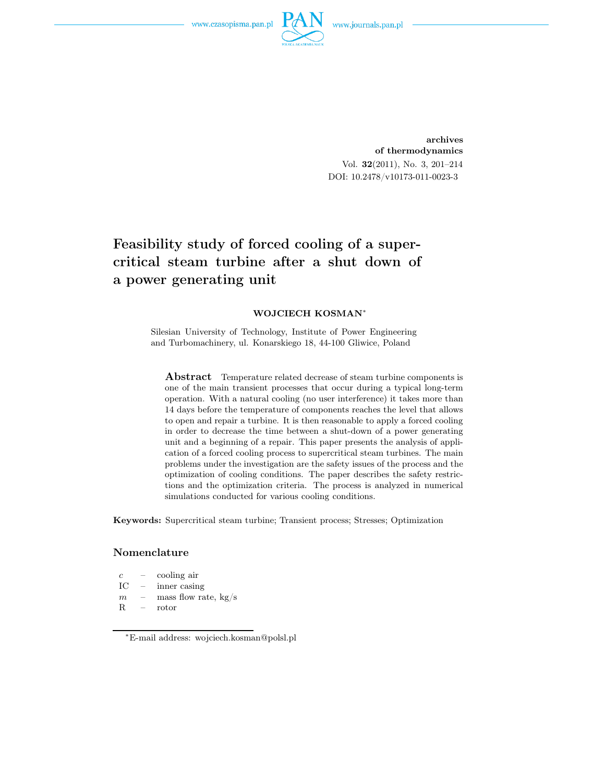

archives of thermodynamics Vol. 32(2011), No. 3, 201–214 DOI: 10.2478/v10173-011-0023-3

# Feasibility study of forced cooling of a supercritical steam turbine after a shut down of a power generating unit

#### WOJCIECH KOSMAN<sup>∗</sup>

Silesian University of Technology, Institute of Power Engineering and Turbomachinery, ul. Konarskiego 18, 44-100 Gliwice, Poland

**Abstract** Temperature related decrease of steam turbine components is one of the main transient processes that occur during a typical long-term operation. With a natural cooling (no user interference) it takes more than 14 days before the temperature of components reaches the level that allows to open and repair a turbine. It is then reasonable to apply a forced cooling in order to decrease the time between a shut-down of a power generating unit and a beginning of a repair. This paper presents the analysis of application of a forced cooling process to supercritical steam turbines. The main problems under the investigation are the safety issues of the process and the optimization of cooling conditions. The paper describes the safety restrictions and the optimization criteria. The process is analyzed in numerical simulations conducted for various cooling conditions.

Keywords: Supercritical steam turbine; Transient process; Stresses; Optimization

#### Nomenclature

- *c* cooling air
- IC inner casing
- $m$  mass flow rate, kg/s
- R rotor

<sup>∗</sup>E-mail address: wojciech.kosman@polsl.pl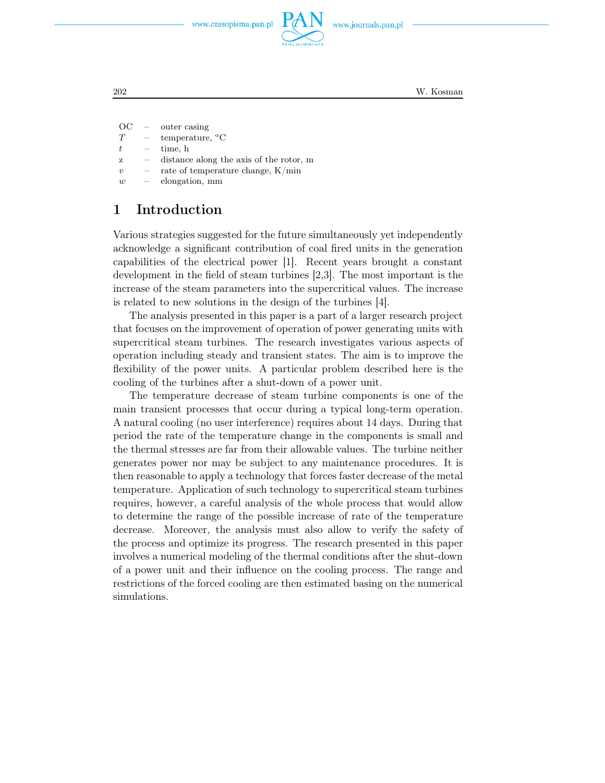

202 W. Kosman

OC – outer casing

- $T =$  temperature,  $^{\circ}$ C
- $t = \text{time, h}$
- z distance along the axis of the rotor, m
- *v* rate of temperature change, K/min
- *w* elongation, mm

## 1 Introduction

Various strategies suggested for the future simultaneously yet independently acknowledge a significant contribution of coal fired units in the generation capabilities of the electrical power [1]. Recent years brought a constant development in the field of steam turbines [2,3]. The most important is the increase of the steam parameters into the supercritical values. The increase is related to new solutions in the design of the turbines [4].

The analysis presented in this paper is a part of a larger research project that focuses on the improvement of operation of power generating units with supercritical steam turbines. The research investigates various aspects of operation including steady and transient states. The aim is to improve the flexibility of the power units. A particular problem described here is the cooling of the turbines after a shut-down of a power unit.

The temperature decrease of steam turbine components is one of the main transient processes that occur during a typical long-term operation. A natural cooling (no user interference) requires about 14 days. During that period the rate of the temperature change in the components is small and the thermal stresses are far from their allowable values. The turbine neither generates power nor may be subject to any maintenance procedures. It is then reasonable to apply a technology that forces faster decrease of the metal temperature. Application of such technology to supercritical steam turbines requires, however, a careful analysis of the whole process that would allow to determine the range of the possible increase of rate of the temperature decrease. Moreover, the analysis must also allow to verify the safety of the process and optimize its progress. The research presented in this paper involves a numerical modeling of the thermal conditions after the shut-down of a power unit and their influence on the cooling process. The range and restrictions of the forced cooling are then estimated basing on the numerical simulations.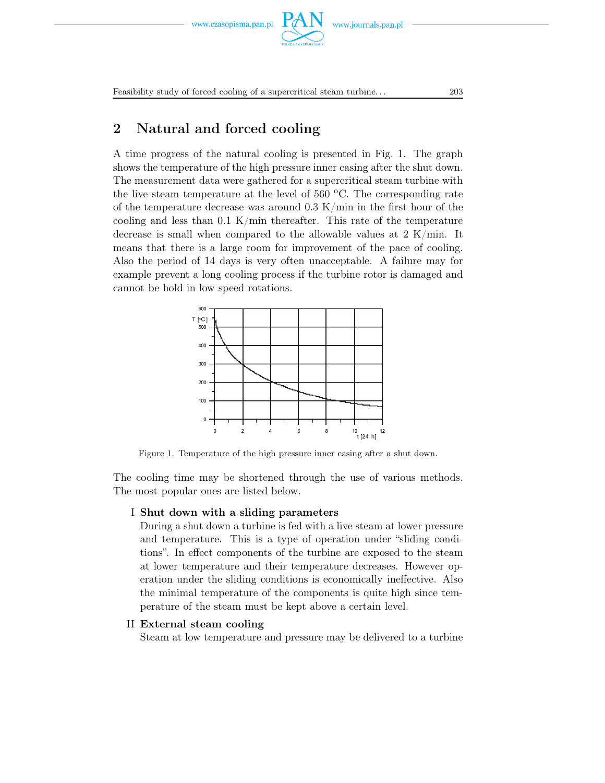Feasibility study of forced cooling of a supercritical steam turbine... 203

# 2 Natural and forced cooling

A time progress of the natural cooling is presented in Fig. 1. The graph shows the temperature of the high pressure inner casing after the shut down. The measurement data were gathered for a supercritical steam turbine with the live steam temperature at the level of  $560 \degree C$ . The corresponding rate of the temperature decrease was around 0.3 K/min in the first hour of the cooling and less than  $0.1 \text{ K/min}$  thereafter. This rate of the temperature decrease is small when compared to the allowable values at 2 K/min. It means that there is a large room for improvement of the pace of cooling. Also the period of 14 days is very often unacceptable. A failure may for example prevent a long cooling process if the turbine rotor is damaged and cannot be hold in low speed rotations.



Figure 1. Temperature of the high pressure inner casing after a shut down.

The cooling time may be shortened through the use of various methods. The most popular ones are listed below.

### I Shut down with a sliding parameters

During a shut down a turbine is fed with a live steam at lower pressure and temperature. This is a type of operation under "sliding conditions". In effect components of the turbine are exposed to the steam at lower temperature and their temperature decreases. However operation under the sliding conditions is economically ineffective. Also the minimal temperature of the components is quite high since temperature of the steam must be kept above a certain level.

#### II External steam cooling

Steam at low temperature and pressure may be delivered to a turbine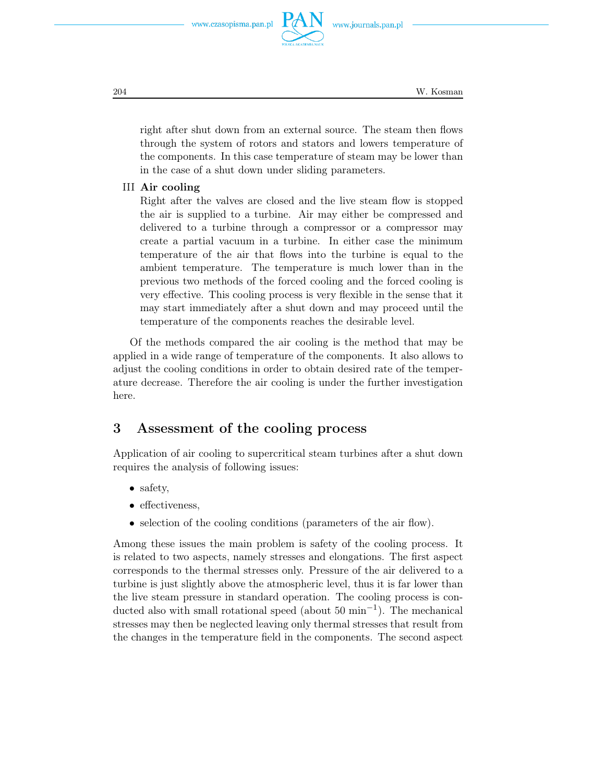

right after shut down from an external source. The steam then flows through the system of rotors and stators and lowers temperature of the components. In this case temperature of steam may be lower than in the case of a shut down under sliding parameters.

III Air cooling

Right after the valves are closed and the live steam flow is stopped the air is supplied to a turbine. Air may either be compressed and delivered to a turbine through a compressor or a compressor may create a partial vacuum in a turbine. In either case the minimum temperature of the air that flows into the turbine is equal to the ambient temperature. The temperature is much lower than in the previous two methods of the forced cooling and the forced cooling is very effective. This cooling process is very flexible in the sense that it may start immediately after a shut down and may proceed until the temperature of the components reaches the desirable level.

Of the methods compared the air cooling is the method that may be applied in a wide range of temperature of the components. It also allows to adjust the cooling conditions in order to obtain desired rate of the temperature decrease. Therefore the air cooling is under the further investigation here.

# 3 Assessment of the cooling process

Application of air cooling to supercritical steam turbines after a shut down requires the analysis of following issues:

- *•* safety,
- effectiveness,
- selection of the cooling conditions (parameters of the air flow).

Among these issues the main problem is safety of the cooling process. It is related to two aspects, namely stresses and elongations. The first aspect corresponds to the thermal stresses only. Pressure of the air delivered to a turbine is just slightly above the atmospheric level, thus it is far lower than the live steam pressure in standard operation. The cooling process is conducted also with small rotational speed (about 50 min*−*1). The mechanical stresses may then be neglected leaving only thermal stresses that result from the changes in the temperature field in the components. The second aspect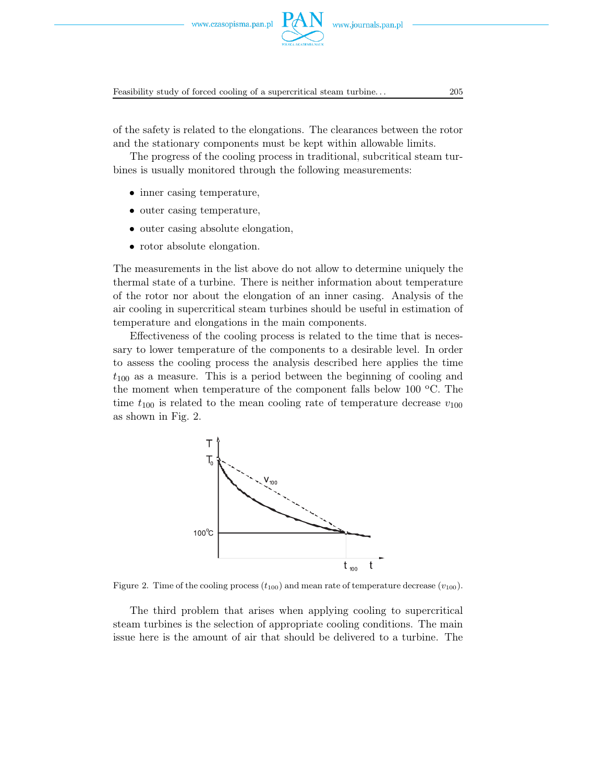

Feasibility study of forced cooling of a supercritical steam turbine. . . 205

of the safety is related to the elongations. The clearances between the rotor and the stationary components must be kept within allowable limits.

The progress of the cooling process in traditional, subcritical steam turbines is usually monitored through the following measurements:

- inner casing temperature,
- outer casing temperature,
- outer casing absolute elongation,
- rotor absolute elongation.

The measurements in the list above do not allow to determine uniquely the thermal state of a turbine. There is neither information about temperature of the rotor nor about the elongation of an inner casing. Analysis of the air cooling in supercritical steam turbines should be useful in estimation of temperature and elongations in the main components.

Effectiveness of the cooling process is related to the time that is necessary to lower temperature of the components to a desirable level. In order to assess the cooling process the analysis described here applies the time  $t_{100}$  as a measure. This is a period between the beginning of cooling and the moment when temperature of the component falls below 100  $\rm{^{\circ}C}$ . The time  $t_{100}$  is related to the mean cooling rate of temperature decrease  $v_{100}$ as shown in Fig. 2.



Figure 2. Time of the cooling process  $(t_{100})$  and mean rate of temperature decrease  $(v_{100})$ .

The third problem that arises when applying cooling to supercritical steam turbines is the selection of appropriate cooling conditions. The main issue here is the amount of air that should be delivered to a turbine. The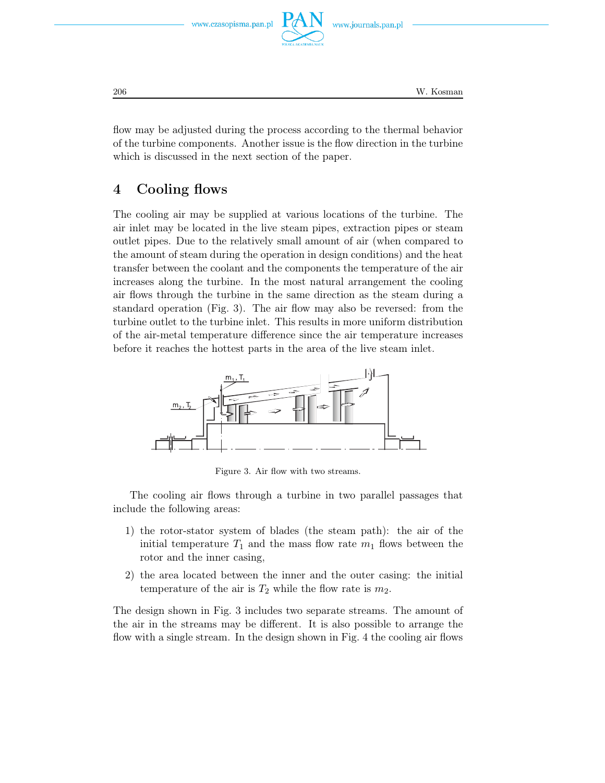

flow may be adjusted during the process according to the thermal behavior of the turbine components. Another issue is the flow direction in the turbine which is discussed in the next section of the paper.

## 4 Cooling flows

The cooling air may be supplied at various locations of the turbine. The air inlet may be located in the live steam pipes, extraction pipes or steam outlet pipes. Due to the relatively small amount of air (when compared to the amount of steam during the operation in design conditions) and the heat transfer between the coolant and the components the temperature of the air increases along the turbine. In the most natural arrangement the cooling air flows through the turbine in the same direction as the steam during a standard operation (Fig. 3). The air flow may also be reversed: from the turbine outlet to the turbine inlet. This results in more uniform distribution of the air-metal temperature difference since the air temperature increases before it reaches the hottest parts in the area of the live steam inlet.



Figure 3. Air flow with two streams.

The cooling air flows through a turbine in two parallel passages that include the following areas:

- 1) the rotor-stator system of blades (the steam path): the air of the initial temperature  $T_1$  and the mass flow rate  $m_1$  flows between the rotor and the inner casing,
- 2) the area located between the inner and the outer casing: the initial temperature of the air is  $T_2$  while the flow rate is  $m_2$ .

The design shown in Fig. 3 includes two separate streams. The amount of the air in the streams may be different. It is also possible to arrange the flow with a single stream. In the design shown in Fig. 4 the cooling air flows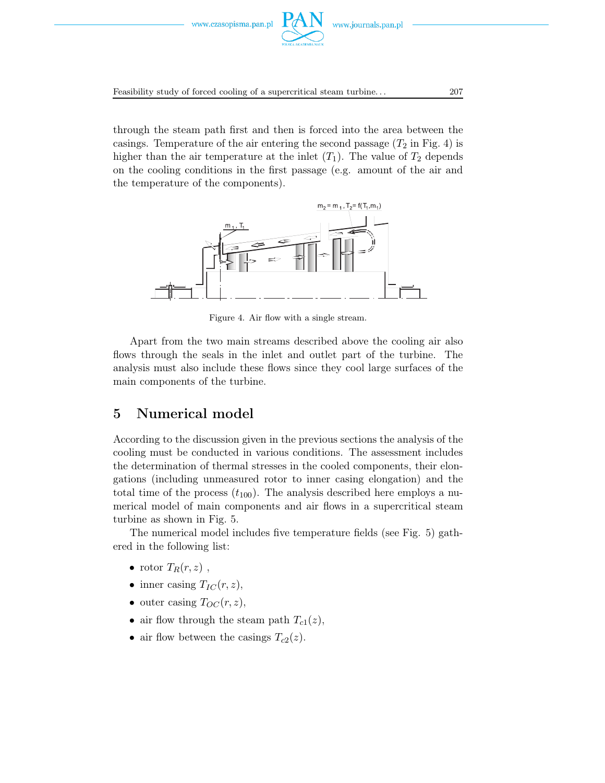

through the steam path first and then is forced into the area between the casings. Temperature of the air entering the second passage  $(T_2$  in Fig. 4) is higher than the air temperature at the inlet  $(T_1)$ . The value of  $T_2$  depends on the cooling conditions in the first passage (e.g. amount of the air and the temperature of the components).



Figure 4. Air flow with a single stream.

Apart from the two main streams described above the cooling air also flows through the seals in the inlet and outlet part of the turbine. The analysis must also include these flows since they cool large surfaces of the main components of the turbine.

## 5 Numerical model

According to the discussion given in the previous sections the analysis of the cooling must be conducted in various conditions. The assessment includes the determination of thermal stresses in the cooled components, their elongations (including unmeasured rotor to inner casing elongation) and the total time of the process  $(t_{100})$ . The analysis described here employs a numerical model of main components and air flows in a supercritical steam turbine as shown in Fig. 5.

The numerical model includes five temperature fields (see Fig. 5) gathered in the following list:

- rotor  $T_R(r, z)$ ,
- inner casing  $T_{IC}(r, z)$ ,
- outer casing  $T_{OC}(r, z)$ ,
- air flow through the steam path  $T_{c1}(z)$ ,
- air flow between the casings  $T_{c2}(z)$ .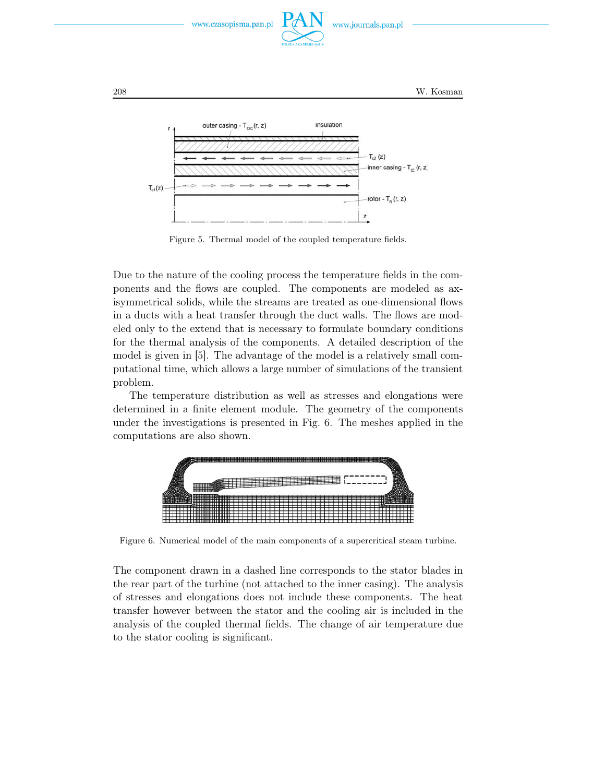



Figure 5. Thermal model of the coupled temperature fields.

Due to the nature of the cooling process the temperature fields in the components and the flows are coupled. The components are modeled as axisymmetrical solids, while the streams are treated as one-dimensional flows in a ducts with a heat transfer through the duct walls. The flows are modeled only to the extend that is necessary to formulate boundary conditions for the thermal analysis of the components. A detailed description of the model is given in [5]. The advantage of the model is a relatively small computational time, which allows a large number of simulations of the transient problem.

The temperature distribution as well as stresses and elongations were determined in a finite element module. The geometry of the components under the investigations is presented in Fig. 6. The meshes applied in the computations are also shown.



Figure 6. Numerical model of the main components of a supercritical steam turbine.

The component drawn in a dashed line corresponds to the stator blades in the rear part of the turbine (not attached to the inner casing). The analysis of stresses and elongations does not include these components. The heat transfer however between the stator and the cooling air is included in the analysis of the coupled thermal fields. The change of air temperature due to the stator cooling is significant.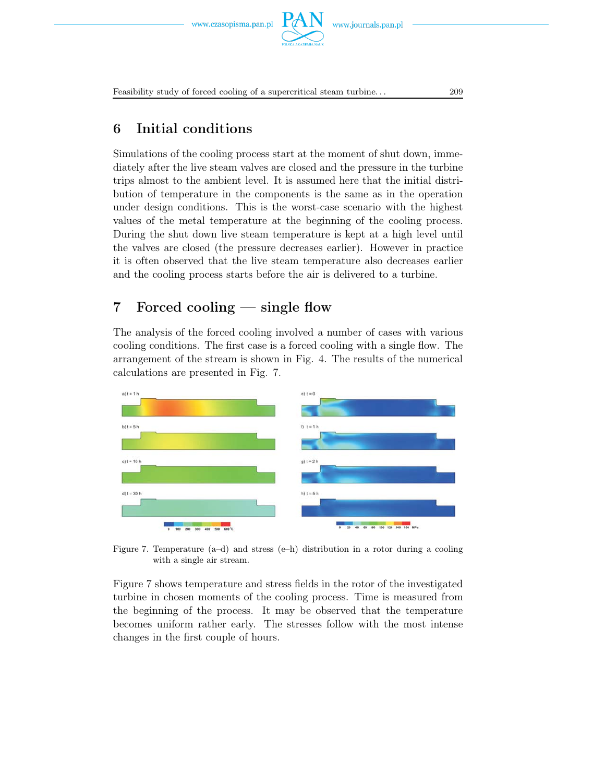Feasibility study of forced cooling of a supercritical steam turbine. . . 209

# 6 Initial conditions

Simulations of the cooling process start at the moment of shut down, immediately after the live steam valves are closed and the pressure in the turbine trips almost to the ambient level. It is assumed here that the initial distribution of temperature in the components is the same as in the operation under design conditions. This is the worst-case scenario with the highest values of the metal temperature at the beginning of the cooling process. During the shut down live steam temperature is kept at a high level until the valves are closed (the pressure decreases earlier). However in practice it is often observed that the live steam temperature also decreases earlier and the cooling process starts before the air is delivered to a turbine.

# 7 Forced cooling — single flow

The analysis of the forced cooling involved a number of cases with various cooling conditions. The first case is a forced cooling with a single flow. The arrangement of the stream is shown in Fig. 4. The results of the numerical calculations are presented in Fig. 7.



Figure 7. Temperature (a–d) and stress (e–h) distribution in a rotor during a cooling with a single air stream.

Figure 7 shows temperature and stress fields in the rotor of the investigated turbine in chosen moments of the cooling process. Time is measured from the beginning of the process. It may be observed that the temperature becomes uniform rather early. The stresses follow with the most intense changes in the first couple of hours.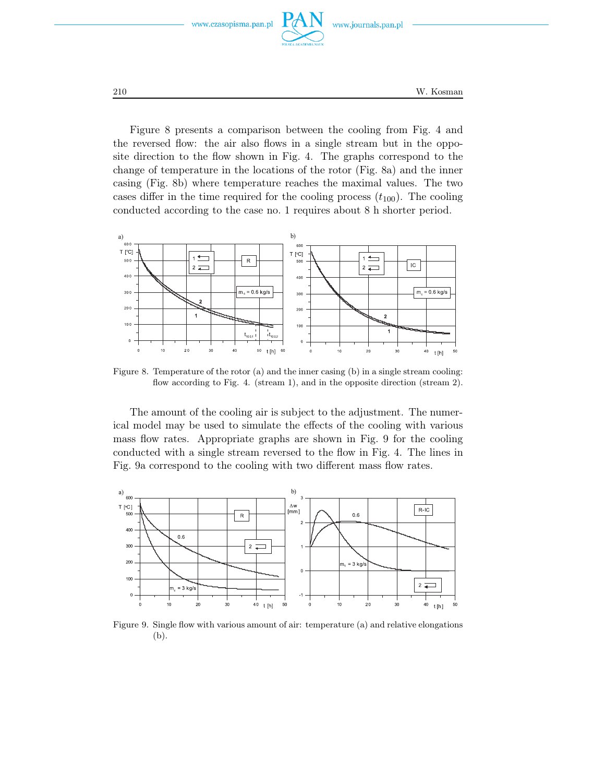



Figure 8 presents a comparison between the cooling from Fig. 4 and the reversed flow: the air also flows in a single stream but in the opposite direction to the flow shown in Fig. 4. The graphs correspond to the change of temperature in the locations of the rotor (Fig. 8a) and the inner casing (Fig. 8b) where temperature reaches the maximal values. The two cases differ in the time required for the cooling process  $(t_{100})$ . The cooling conducted according to the case no. 1 requires about 8 h shorter period.



Figure 8. Temperature of the rotor (a) and the inner casing (b) in a single stream cooling: flow according to Fig. 4. (stream 1), and in the opposite direction (stream 2).

The amount of the cooling air is subject to the adjustment. The numerical model may be used to simulate the effects of the cooling with various mass flow rates. Appropriate graphs are shown in Fig. 9 for the cooling conducted with a single stream reversed to the flow in Fig. 4. The lines in Fig. 9a correspond to the cooling with two different mass flow rates.



Figure 9. Single flow with various amount of air: temperature (a) and relative elongations (b).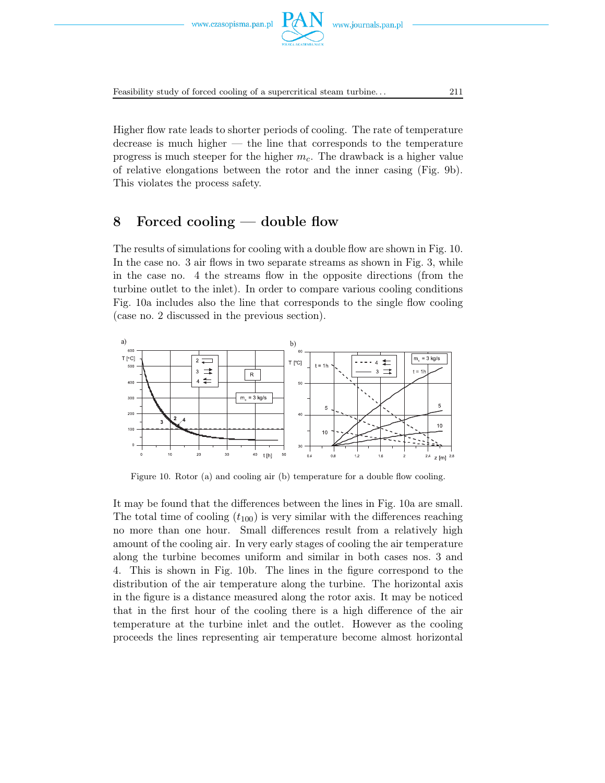Feasibility study of forced cooling of a supercritical steam turbine. . . 211

Higher flow rate leads to shorter periods of cooling. The rate of temperature decrease is much higher — the line that corresponds to the temperature progress is much steeper for the higher *mc*. The drawback is a higher value of relative elongations between the rotor and the inner casing (Fig. 9b). This violates the process safety.

# 8 Forced cooling — double flow

The results of simulations for cooling with a double flow are shown in Fig. 10. In the case no. 3 air flows in two separate streams as shown in Fig. 3, while in the case no. 4 the streams flow in the opposite directions (from the turbine outlet to the inlet). In order to compare various cooling conditions Fig. 10a includes also the line that corresponds to the single flow cooling (case no. 2 discussed in the previous section).



Figure 10. Rotor (a) and cooling air (b) temperature for a double flow cooling.

It may be found that the differences between the lines in Fig. 10a are small. The total time of cooling  $(t_{100})$  is very similar with the differences reaching no more than one hour. Small differences result from a relatively high amount of the cooling air. In very early stages of cooling the air temperature along the turbine becomes uniform and similar in both cases nos. 3 and 4. This is shown in Fig. 10b. The lines in the figure correspond to the distribution of the air temperature along the turbine. The horizontal axis in the figure is a distance measured along the rotor axis. It may be noticed that in the first hour of the cooling there is a high difference of the air temperature at the turbine inlet and the outlet. However as the cooling proceeds the lines representing air temperature become almost horizontal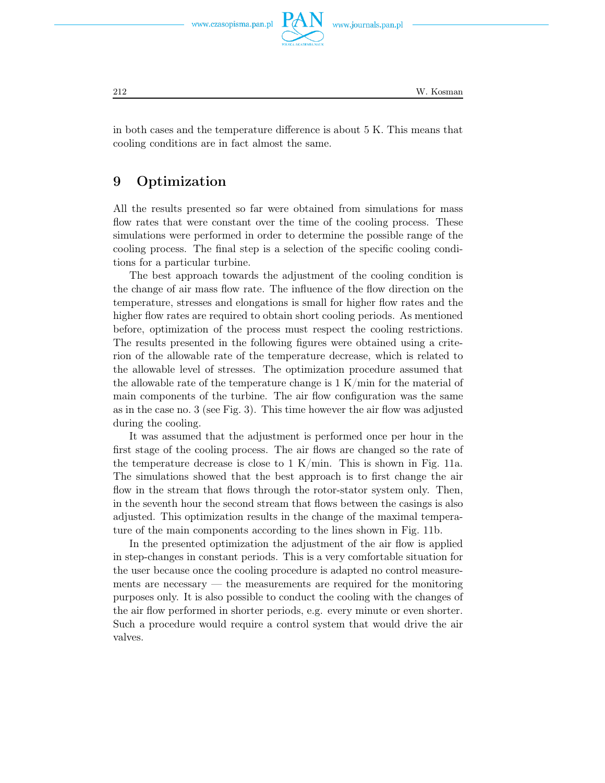www.journals.pan.pl



212 W. Kosman

in both cases and the temperature difference is about 5 K. This means that cooling conditions are in fact almost the same.

# 9 Optimization

All the results presented so far were obtained from simulations for mass flow rates that were constant over the time of the cooling process. These simulations were performed in order to determine the possible range of the cooling process. The final step is a selection of the specific cooling conditions for a particular turbine.

The best approach towards the adjustment of the cooling condition is the change of air mass flow rate. The influence of the flow direction on the temperature, stresses and elongations is small for higher flow rates and the higher flow rates are required to obtain short cooling periods. As mentioned before, optimization of the process must respect the cooling restrictions. The results presented in the following figures were obtained using a criterion of the allowable rate of the temperature decrease, which is related to the allowable level of stresses. The optimization procedure assumed that the allowable rate of the temperature change is 1 K/min for the material of main components of the turbine. The air flow configuration was the same as in the case no. 3 (see Fig. 3). This time however the air flow was adjusted during the cooling.

It was assumed that the adjustment is performed once per hour in the first stage of the cooling process. The air flows are changed so the rate of the temperature decrease is close to 1 K/min. This is shown in Fig. 11a. The simulations showed that the best approach is to first change the air flow in the stream that flows through the rotor-stator system only. Then, in the seventh hour the second stream that flows between the casings is also adjusted. This optimization results in the change of the maximal temperature of the main components according to the lines shown in Fig. 11b.

In the presented optimization the adjustment of the air flow is applied in step-changes in constant periods. This is a very comfortable situation for the user because once the cooling procedure is adapted no control measurements are necessary — the measurements are required for the monitoring purposes only. It is also possible to conduct the cooling with the changes of the air flow performed in shorter periods, e.g. every minute or even shorter. Such a procedure would require a control system that would drive the air valves.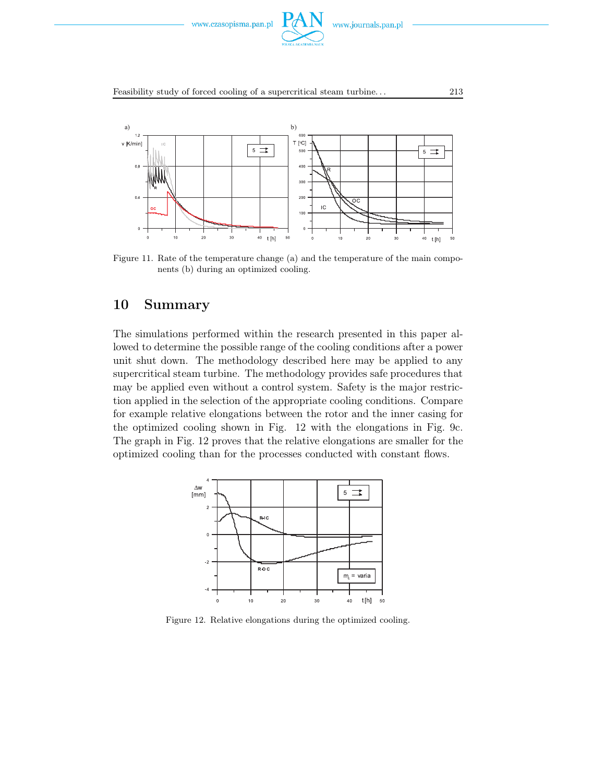

#### Feasibility study of forced cooling of a supercritical steam turbine. . . 213



Figure 11. Rate of the temperature change (a) and the temperature of the main components (b) during an optimized cooling.

## 10 Summary

The simulations performed within the research presented in this paper allowed to determine the possible range of the cooling conditions after a power unit shut down. The methodology described here may be applied to any supercritical steam turbine. The methodology provides safe procedures that may be applied even without a control system. Safety is the major restriction applied in the selection of the appropriate cooling conditions. Compare for example relative elongations between the rotor and the inner casing for the optimized cooling shown in Fig. 12 with the elongations in Fig. 9c. The graph in Fig. 12 proves that the relative elongations are smaller for the optimized cooling than for the processes conducted with constant flows.



Figure 12. Relative elongations during the optimized cooling.